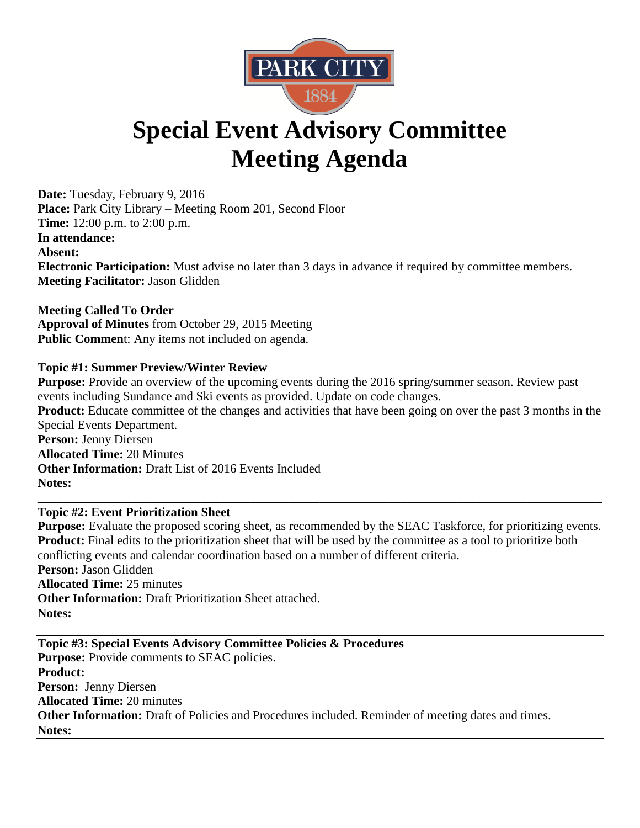

# **Special Event Advisory Committee Meeting Agenda**

**Date:** Tuesday, February 9, 2016 **Place:** Park City Library – Meeting Room 201, Second Floor **Time:** 12:00 p.m. to 2:00 p.m. **In attendance: Absent: Electronic Participation:** Must advise no later than 3 days in advance if required by committee members. **Meeting Facilitator:** Jason Glidden

**Meeting Called To Order Approval of Minutes** from October 29, 2015 Meeting **Public Commen**t: Any items not included on agenda.

# **Topic #1: Summer Preview/Winter Review**

**Purpose:** Provide an overview of the upcoming events during the 2016 spring/summer season. Review past events including Sundance and Ski events as provided. Update on code changes. **Product:** Educate committee of the changes and activities that have been going on over the past 3 months in the Special Events Department. **Person:** Jenny Diersen **Allocated Time:** 20 Minutes **Other Information:** Draft List of 2016 Events Included **Notes:** 

**\_\_\_\_\_\_\_\_\_\_\_\_\_\_\_\_\_\_\_\_\_\_\_\_\_\_\_\_\_\_\_\_\_\_\_\_\_\_\_\_\_\_\_\_\_\_\_\_\_\_\_\_\_\_\_\_\_\_\_\_\_\_\_\_\_\_\_\_\_\_\_\_\_\_\_\_\_\_\_\_\_\_\_\_\_\_\_\_\_\_**

# **Topic #2: Event Prioritization Sheet**

**Purpose:** Evaluate the proposed scoring sheet, as recommended by the SEAC Taskforce, for prioritizing events. **Product:** Final edits to the prioritization sheet that will be used by the committee as a tool to prioritize both conflicting events and calendar coordination based on a number of different criteria. **Person:** Jason Glidden **Allocated Time:** 25 minutes **Other Information:** Draft Prioritization Sheet attached. **Notes:** 

**Topic #3: Special Events Advisory Committee Policies & Procedures Purpose:** Provide comments to SEAC policies. **Product: Person:** Jenny Diersen **Allocated Time:** 20 minutes **Other Information:** Draft of Policies and Procedures included. Reminder of meeting dates and times. **Notes:**